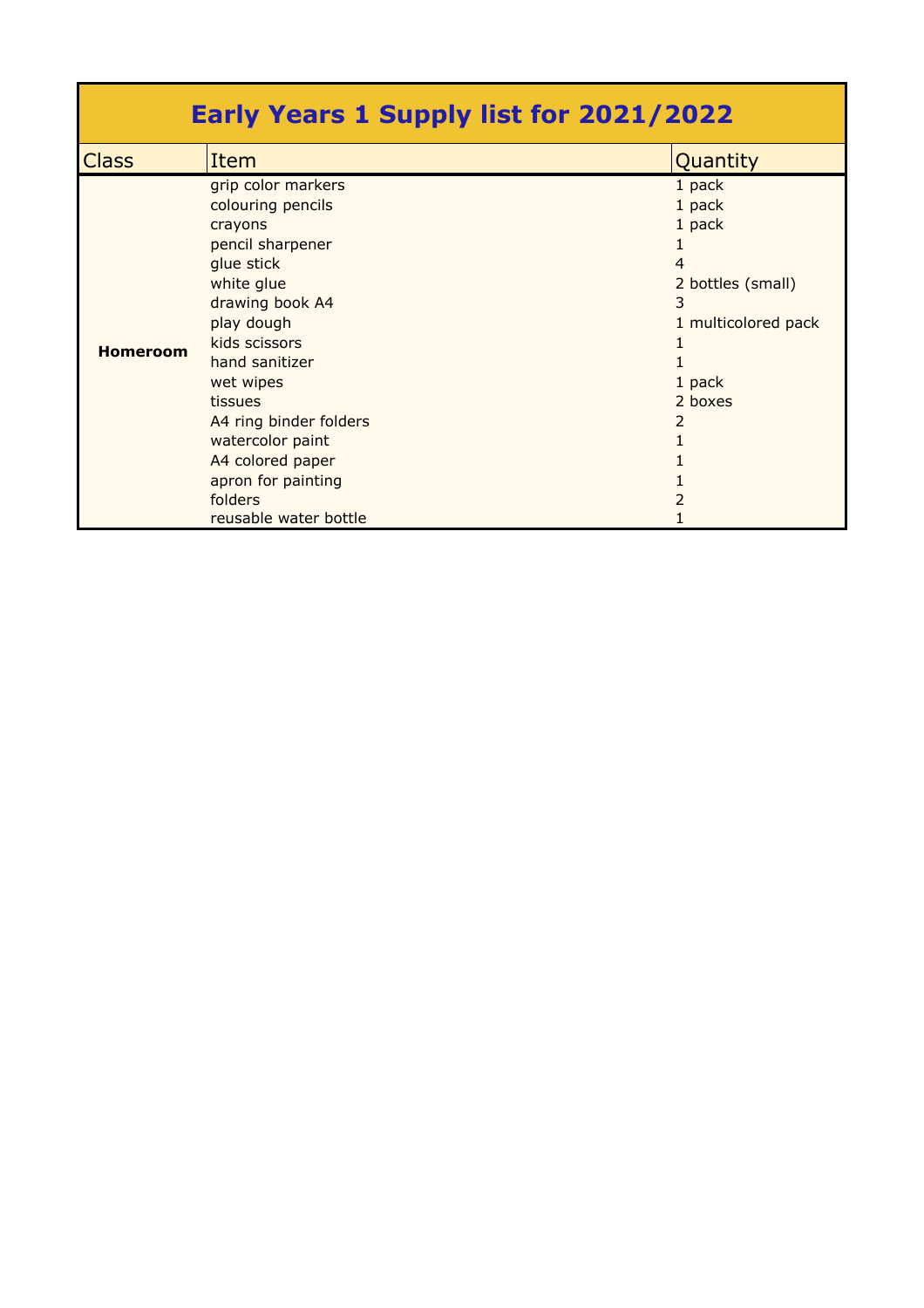| <b>Early Years 1 Supply list for 2021/2022</b> |                                                                                                                                                                                                                                                                                                                            |                                                                                                            |  |  |
|------------------------------------------------|----------------------------------------------------------------------------------------------------------------------------------------------------------------------------------------------------------------------------------------------------------------------------------------------------------------------------|------------------------------------------------------------------------------------------------------------|--|--|
| <b>Class</b>                                   | Item                                                                                                                                                                                                                                                                                                                       | Quantity                                                                                                   |  |  |
| <b>Homeroom</b>                                | grip color markers<br>colouring pencils<br>crayons<br>pencil sharpener<br>glue stick<br>white glue<br>drawing book A4<br>play dough<br>kids scissors<br>hand sanitizer<br>wet wipes<br>tissues<br>A4 ring binder folders<br>watercolor paint<br>A4 colored paper<br>apron for painting<br>folders<br>reusable water bottle | 1 pack<br>1 pack<br>1 pack<br>4<br>2 bottles (small)<br>3<br>1 multicolored pack<br>1 pack<br>2 boxes<br>2 |  |  |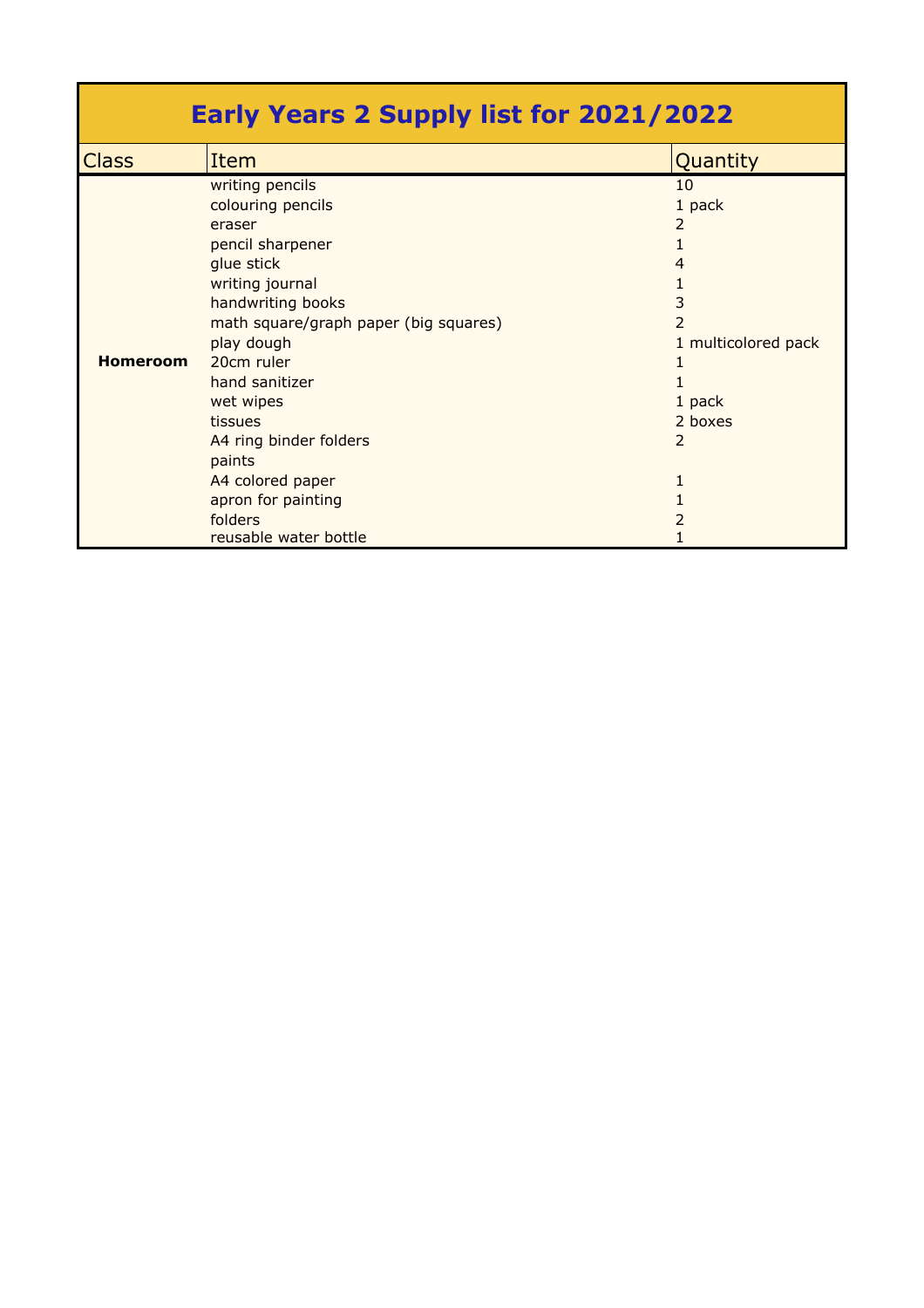| <b>Early Years 2 Supply list for 2021/2022</b> |                                       |                     |  |  |
|------------------------------------------------|---------------------------------------|---------------------|--|--|
| <b>Class</b>                                   | Item                                  | Quantity            |  |  |
|                                                | writing pencils                       | 10                  |  |  |
|                                                | colouring pencils                     | 1 pack              |  |  |
|                                                | eraser                                | 2                   |  |  |
|                                                | pencil sharpener                      | 1                   |  |  |
|                                                | glue stick                            | 4                   |  |  |
|                                                | writing journal                       | 1                   |  |  |
|                                                | handwriting books                     | 3                   |  |  |
|                                                | math square/graph paper (big squares) | 2                   |  |  |
|                                                | play dough                            | 1 multicolored pack |  |  |
| <b>Homeroom</b>                                | 20cm ruler                            |                     |  |  |
|                                                | hand sanitizer                        |                     |  |  |
|                                                | wet wipes                             | 1 pack              |  |  |
|                                                | tissues                               | 2 boxes             |  |  |
|                                                | A4 ring binder folders                | 2                   |  |  |
|                                                | paints                                |                     |  |  |
|                                                | A4 colored paper                      | 1                   |  |  |
|                                                | apron for painting                    |                     |  |  |
|                                                | folders                               | 2                   |  |  |
|                                                | reusable water bottle                 |                     |  |  |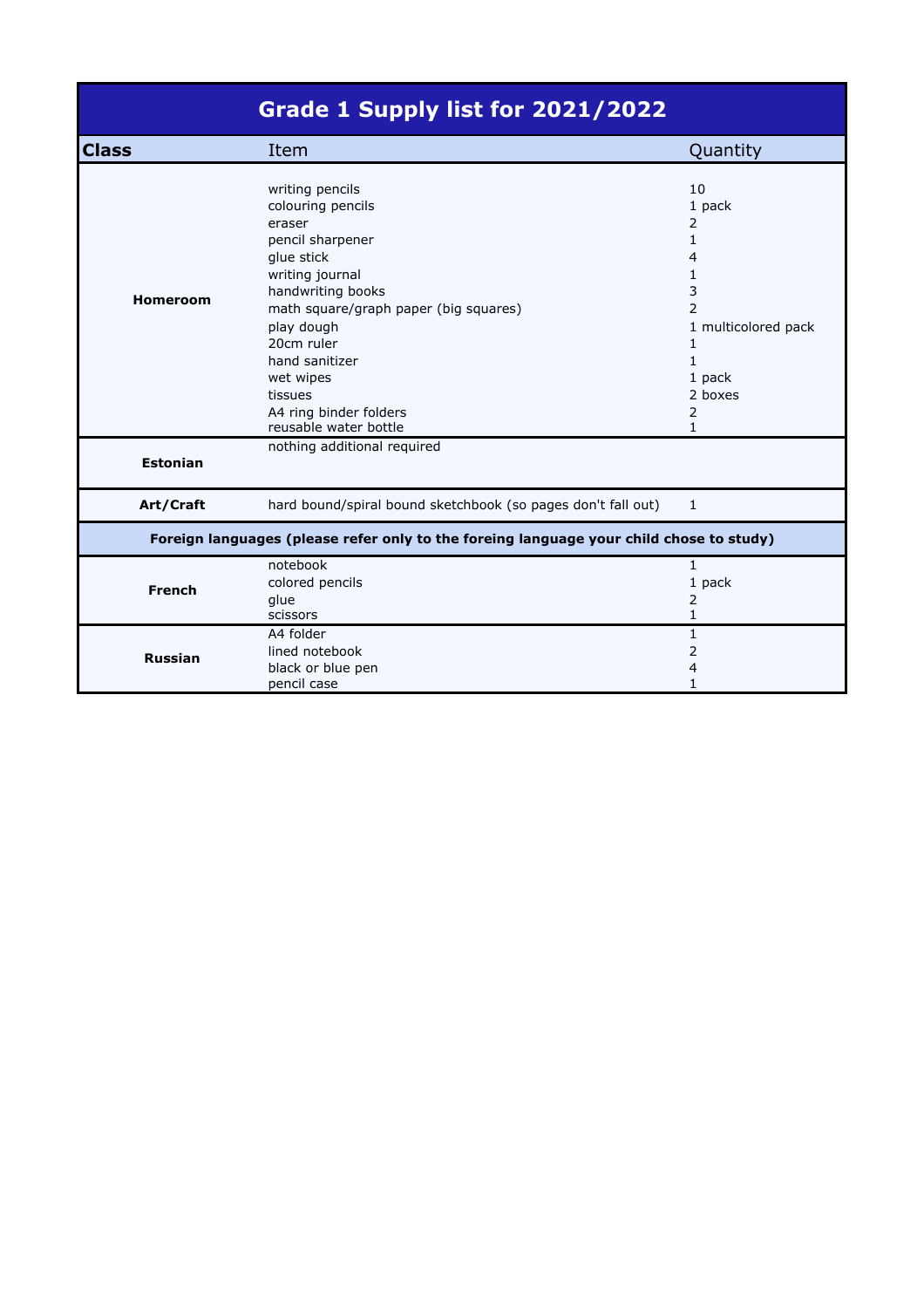|                                                                                         | Grade 1 Supply list for 2021/2022                                                                                                                                                                                                                                 |                                                                                                                               |  |
|-----------------------------------------------------------------------------------------|-------------------------------------------------------------------------------------------------------------------------------------------------------------------------------------------------------------------------------------------------------------------|-------------------------------------------------------------------------------------------------------------------------------|--|
| <b>Class</b>                                                                            | Item                                                                                                                                                                                                                                                              | Quantity                                                                                                                      |  |
| <b>Homeroom</b>                                                                         | writing pencils<br>colouring pencils<br>eraser<br>pencil sharpener<br>glue stick<br>writing journal<br>handwriting books<br>math square/graph paper (big squares)<br>play dough<br>20cm ruler<br>hand sanitizer<br>wet wipes<br>tissues<br>A4 ring binder folders | 10<br>1 pack<br>2<br>1<br>4<br>1<br>3<br>$\overline{2}$<br>1 multicolored pack<br>1<br>$\mathbf{1}$<br>1 pack<br>2 boxes<br>2 |  |
| <b>Estonian</b>                                                                         | reusable water bottle<br>nothing additional required                                                                                                                                                                                                              | $\mathbf{1}$                                                                                                                  |  |
| Art/Craft                                                                               | hard bound/spiral bound sketchbook (so pages don't fall out)                                                                                                                                                                                                      | 1                                                                                                                             |  |
| Foreign languages (please refer only to the foreing language your child chose to study) |                                                                                                                                                                                                                                                                   |                                                                                                                               |  |
| <b>French</b>                                                                           | notebook<br>colored pencils<br>glue<br>scissors                                                                                                                                                                                                                   | 1<br>1 pack<br>2<br>1                                                                                                         |  |
| <b>Russian</b>                                                                          | A4 folder<br>lined notebook<br>black or blue pen<br>pencil case                                                                                                                                                                                                   | $\mathbf{1}$<br>2<br>4<br>1                                                                                                   |  |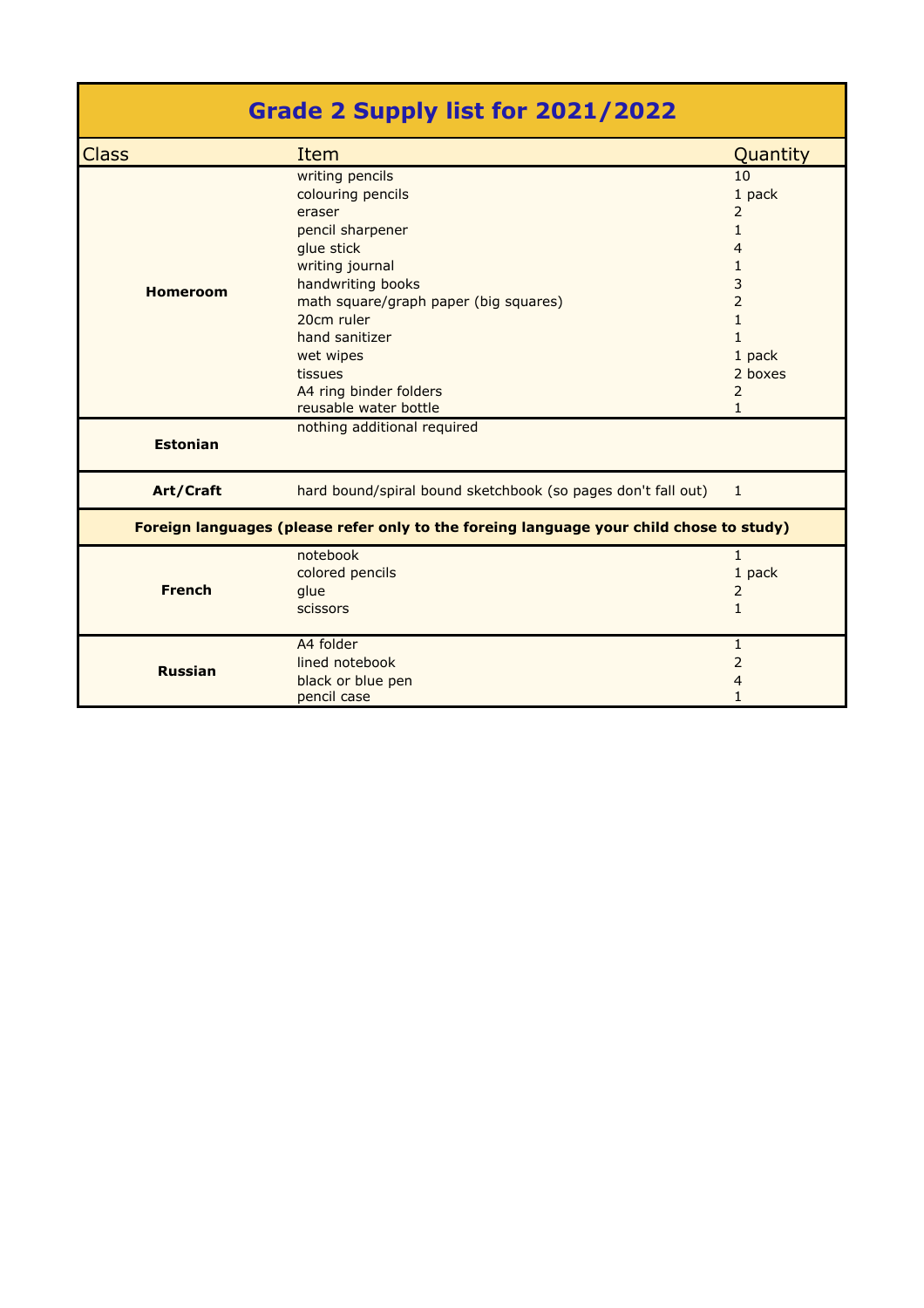|                 | Grade 2 Supply list for 2021/2022                                                       |                |
|-----------------|-----------------------------------------------------------------------------------------|----------------|
| <b>Class</b>    | Item                                                                                    | Quantity       |
|                 | writing pencils                                                                         | 10             |
|                 | colouring pencils                                                                       | 1 pack         |
|                 | eraser                                                                                  | $\overline{2}$ |
|                 | pencil sharpener                                                                        | $\mathbf{1}$   |
|                 | glue stick                                                                              | 4              |
|                 | writing journal                                                                         | $\mathbf{1}$   |
| <b>Homeroom</b> | handwriting books                                                                       | 3              |
|                 | math square/graph paper (big squares)                                                   | $\overline{2}$ |
|                 | 20cm ruler                                                                              | $\mathbf{1}$   |
|                 | hand sanitizer                                                                          | $\mathbf{1}$   |
|                 | wet wipes                                                                               | 1 pack         |
|                 | tissues                                                                                 | 2 boxes        |
|                 | A4 ring binder folders                                                                  | $\overline{2}$ |
|                 | reusable water bottle                                                                   | $\mathbf{1}$   |
| <b>Estonian</b> | nothing additional required                                                             |                |
| Art/Craft       | hard bound/spiral bound sketchbook (so pages don't fall out)                            | $\mathbf{1}$   |
|                 | Foreign languages (please refer only to the foreing language your child chose to study) |                |
|                 | notebook                                                                                | $\mathbf{1}$   |
|                 | colored pencils                                                                         | 1 pack         |
| <b>French</b>   | glue                                                                                    | 2              |
|                 | <b>scissors</b>                                                                         | $\mathbf{1}$   |
|                 | A4 folder                                                                               | $\mathbf{1}$   |
| <b>Russian</b>  | lined notebook                                                                          | 2              |
|                 | black or blue pen                                                                       | 4              |
|                 | pencil case                                                                             | $\mathbf{1}$   |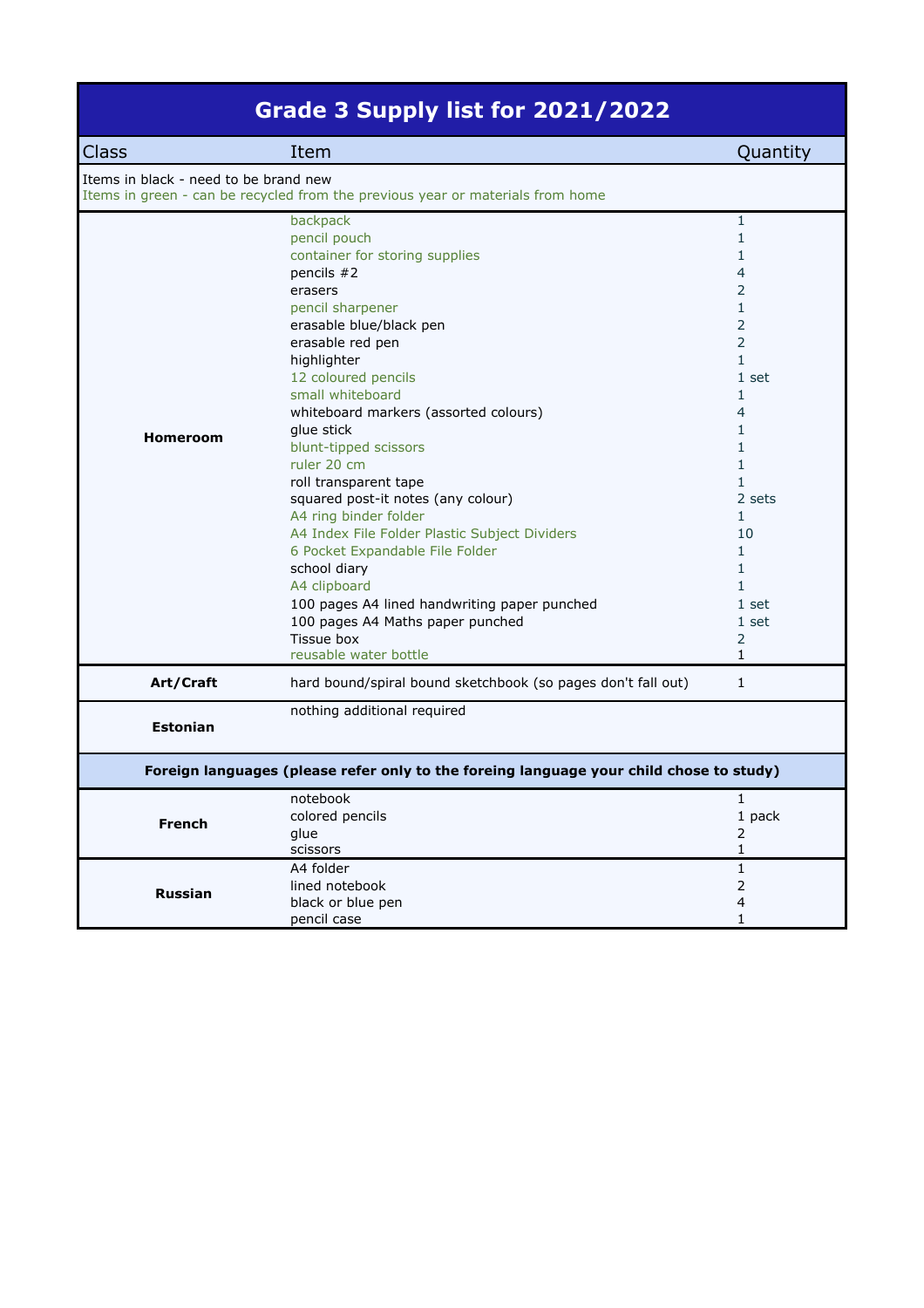|  |  | Grade 3 Supply list for 2021/2022 |  |
|--|--|-----------------------------------|--|
|  |  |                                   |  |

| <b>Class</b>                          | Item                                                                                                                                                                                                                                                                                                                                                                                                                                                                                                                                                                                                                                                     | Quantity                                                                                                                                                                                                                                                                                                                |
|---------------------------------------|----------------------------------------------------------------------------------------------------------------------------------------------------------------------------------------------------------------------------------------------------------------------------------------------------------------------------------------------------------------------------------------------------------------------------------------------------------------------------------------------------------------------------------------------------------------------------------------------------------------------------------------------------------|-------------------------------------------------------------------------------------------------------------------------------------------------------------------------------------------------------------------------------------------------------------------------------------------------------------------------|
| Items in black - need to be brand new | Items in green - can be recycled from the previous year or materials from home                                                                                                                                                                                                                                                                                                                                                                                                                                                                                                                                                                           |                                                                                                                                                                                                                                                                                                                         |
| <b>Homeroom</b>                       | backpack<br>pencil pouch<br>container for storing supplies<br>pencils $#2$<br>erasers<br>pencil sharpener<br>erasable blue/black pen<br>erasable red pen<br>highlighter<br>12 coloured pencils<br>small whiteboard<br>whiteboard markers (assorted colours)<br>glue stick<br>blunt-tipped scissors<br>ruler 20 cm<br>roll transparent tape<br>squared post-it notes (any colour)<br>A4 ring binder folder<br>A4 Index File Folder Plastic Subject Dividers<br>6 Pocket Expandable File Folder<br>school diary<br>A4 clipboard<br>100 pages A4 lined handwriting paper punched<br>100 pages A4 Maths paper punched<br>Tissue box<br>reusable water bottle | $\mathbf{1}$<br>$\mathbf{1}$<br>1<br>4<br>2<br>$\mathbf{1}$<br>2<br>$\overline{2}$<br>$\mathbf{1}$<br>1 set<br>$\mathbf{1}$<br>4<br>$\mathbf{1}$<br>$\mathbf{1}$<br>$\mathbf{1}$<br>$\mathbf{1}$<br>2 sets<br>$\mathbf{1}$<br>10<br>$\mathbf{1}$<br>$\mathbf{1}$<br>$\mathbf{1}$<br>1 set<br>1 set<br>2<br>$\mathbf{1}$ |
| Art/Craft                             | hard bound/spiral bound sketchbook (so pages don't fall out)                                                                                                                                                                                                                                                                                                                                                                                                                                                                                                                                                                                             | $\mathbf{1}$                                                                                                                                                                                                                                                                                                            |
| <b>Estonian</b>                       | nothing additional required                                                                                                                                                                                                                                                                                                                                                                                                                                                                                                                                                                                                                              |                                                                                                                                                                                                                                                                                                                         |
|                                       | Foreign languages (please refer only to the foreing language your child chose to study)                                                                                                                                                                                                                                                                                                                                                                                                                                                                                                                                                                  |                                                                                                                                                                                                                                                                                                                         |
| <b>French</b>                         | notebook<br>colored pencils<br>glue<br>scissors                                                                                                                                                                                                                                                                                                                                                                                                                                                                                                                                                                                                          | $\mathbf{1}$<br>1 pack<br>2<br>$\mathbf{1}$                                                                                                                                                                                                                                                                             |
| <b>Russian</b>                        | A4 folder<br>lined notebook<br>black or blue pen<br>pencil case                                                                                                                                                                                                                                                                                                                                                                                                                                                                                                                                                                                          | $\mathbf{1}$<br>2<br>4<br>$\mathbf{1}$                                                                                                                                                                                                                                                                                  |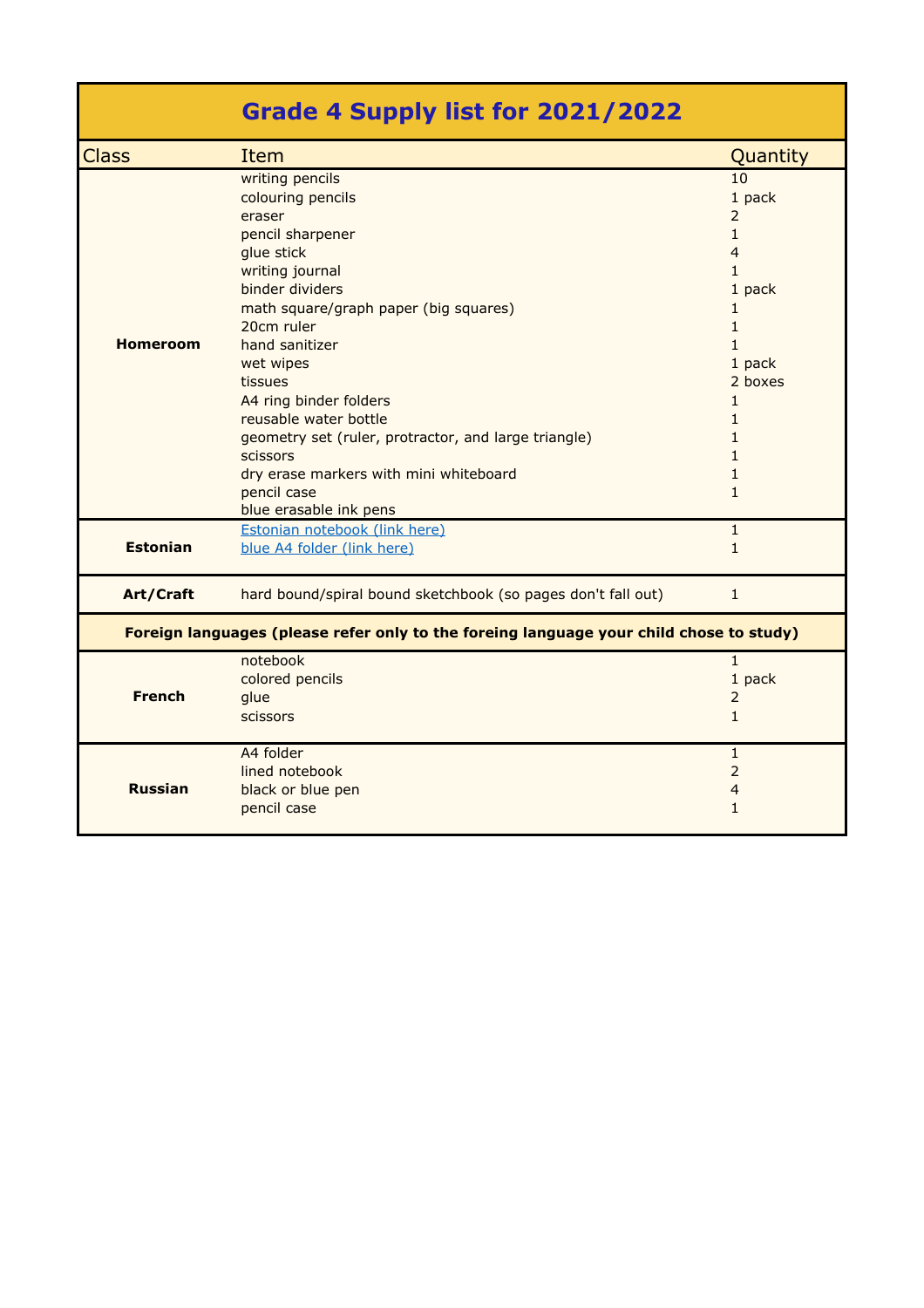|                 | Grade 4 Supply list for 2021/2022                                                                                                                                                                                                                                                                                                                                                                                                 |                                                                                                                                                                                                                                           |
|-----------------|-----------------------------------------------------------------------------------------------------------------------------------------------------------------------------------------------------------------------------------------------------------------------------------------------------------------------------------------------------------------------------------------------------------------------------------|-------------------------------------------------------------------------------------------------------------------------------------------------------------------------------------------------------------------------------------------|
| <b>Class</b>    | Item                                                                                                                                                                                                                                                                                                                                                                                                                              | Quantity                                                                                                                                                                                                                                  |
| <b>Homeroom</b> | writing pencils<br>colouring pencils<br>eraser<br>pencil sharpener<br>glue stick<br>writing journal<br>binder dividers<br>math square/graph paper (big squares)<br>20cm ruler<br>hand sanitizer<br>wet wipes<br>tissues<br>A4 ring binder folders<br>reusable water bottle<br>geometry set (ruler, protractor, and large triangle)<br>scissors<br>dry erase markers with mini whiteboard<br>pencil case<br>blue erasable ink pens | 10<br>1 pack<br>$\overline{2}$<br>$\mathbf{1}$<br>$\overline{4}$<br>$\mathbf{1}$<br>1 pack<br>$\mathbf{1}$<br>$\mathbf{1}$<br>$\mathbf{1}$<br>1 pack<br>2 boxes<br>$\mathbf{1}$<br>1<br>1<br>$\mathbf{1}$<br>$\mathbf{1}$<br>$\mathbf{1}$ |
| <b>Estonian</b> | Estonian notebook (link here)<br>blue A4 folder (link here)                                                                                                                                                                                                                                                                                                                                                                       | $\mathbf{1}$<br>1                                                                                                                                                                                                                         |
| Art/Craft       | hard bound/spiral bound sketchbook (so pages don't fall out)                                                                                                                                                                                                                                                                                                                                                                      | $\mathbf{1}$                                                                                                                                                                                                                              |
|                 | Foreign languages (please refer only to the foreing language your child chose to study)                                                                                                                                                                                                                                                                                                                                           |                                                                                                                                                                                                                                           |
| <b>French</b>   | notebook<br>colored pencils<br>glue<br>scissors                                                                                                                                                                                                                                                                                                                                                                                   | $\mathbf{1}$<br>1 pack<br>$\overline{2}$<br>$\mathbf{1}$                                                                                                                                                                                  |
| <b>Russian</b>  | A4 folder<br>lined notebook<br>black or blue pen<br>pencil case                                                                                                                                                                                                                                                                                                                                                                   | $\mathbf{1}$<br>$\overline{2}$<br>$\overline{4}$<br>1                                                                                                                                                                                     |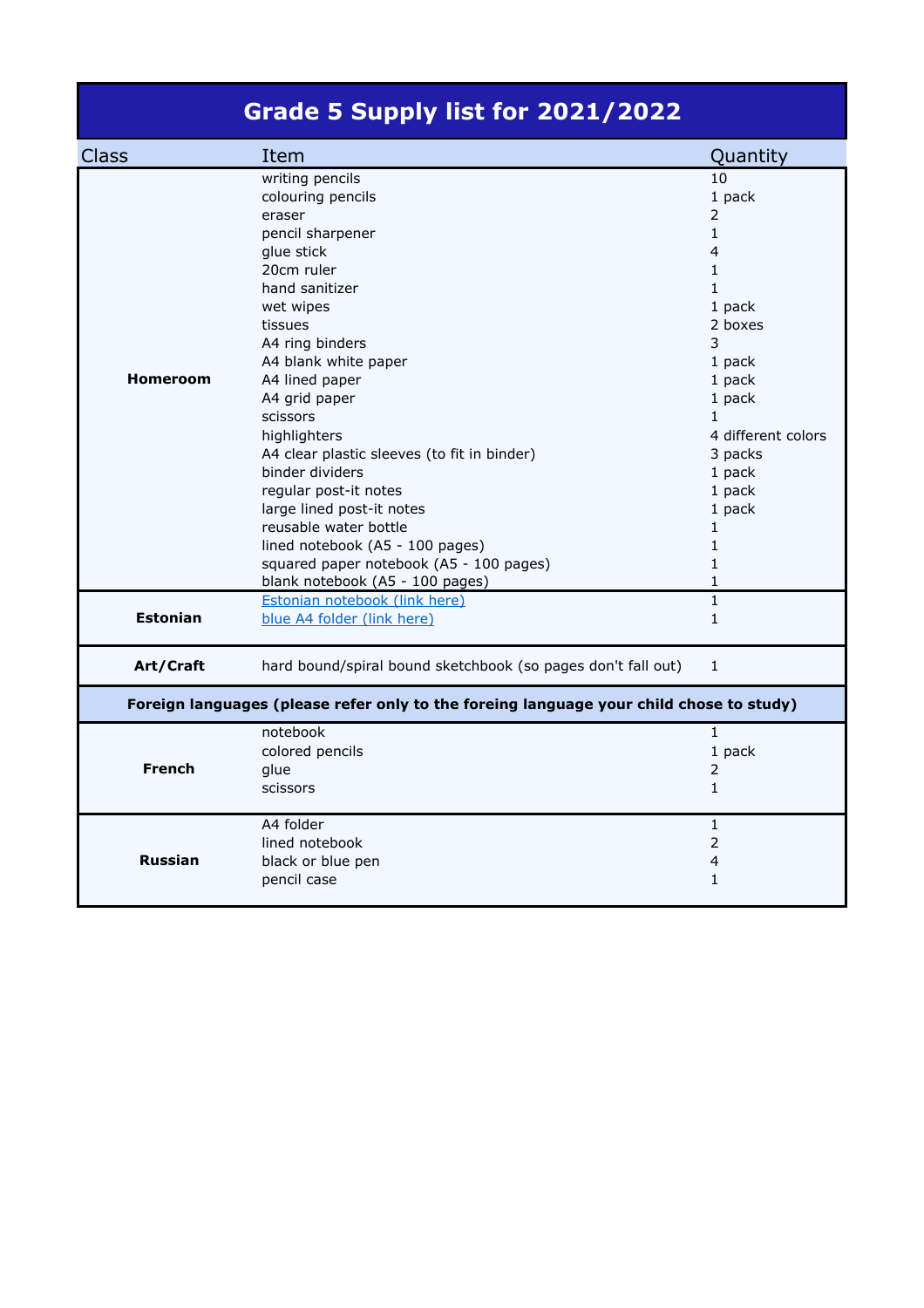## **Grade 5 Supply list for 2021/2022**

| <b>Class</b>    | Item                                                                                    | Quantity           |
|-----------------|-----------------------------------------------------------------------------------------|--------------------|
|                 | writing pencils                                                                         | 10                 |
|                 | colouring pencils                                                                       | 1 pack             |
|                 | eraser                                                                                  | $\overline{2}$     |
|                 | pencil sharpener                                                                        | $\mathbf{1}$       |
|                 | glue stick                                                                              | 4                  |
|                 | 20cm ruler                                                                              | 1                  |
|                 | hand sanitizer                                                                          | $\mathbf{1}$       |
|                 | wet wipes                                                                               | 1 pack             |
|                 | tissues                                                                                 | 2 boxes            |
|                 | A4 ring binders                                                                         | 3                  |
|                 | A4 blank white paper                                                                    | 1 pack             |
| <b>Homeroom</b> | A4 lined paper                                                                          | 1 pack             |
|                 | A4 grid paper                                                                           | 1 pack             |
|                 | scissors                                                                                | $\mathbf{1}$       |
|                 | highlighters                                                                            | 4 different colors |
|                 | A4 clear plastic sleeves (to fit in binder)                                             | 3 packs            |
|                 | binder dividers                                                                         | 1 pack             |
|                 | regular post-it notes                                                                   | 1 pack             |
|                 | large lined post-it notes                                                               | 1 pack             |
|                 | reusable water bottle                                                                   | $\mathbf{1}$       |
|                 | lined notebook (A5 - 100 pages)                                                         | $\mathbf{1}$       |
|                 | squared paper notebook (A5 - 100 pages)                                                 | $\mathbf{1}$       |
|                 | blank notebook (A5 - 100 pages)                                                         | 1                  |
|                 | Estonian notebook (link here)                                                           | $\mathbf{1}$       |
| <b>Estonian</b> | blue A4 folder (link here)                                                              | $\mathbf{1}$       |
|                 |                                                                                         |                    |
| Art/Craft       | hard bound/spiral bound sketchbook (so pages don't fall out)                            | $\mathbf{1}$       |
|                 | Foreign languages (please refer only to the foreing language your child chose to study) |                    |
|                 | notebook                                                                                | $\mathbf{1}$       |
|                 | colored pencils                                                                         | 1 pack             |
| <b>French</b>   | glue                                                                                    | $\overline{2}$     |
|                 | scissors                                                                                | $\mathbf{1}$       |
|                 | A4 folder                                                                               | $\mathbf{1}$       |
|                 | lined notebook                                                                          | $\overline{2}$     |
| <b>Russian</b>  | black or blue pen                                                                       | 4                  |
|                 | pencil case                                                                             | $\mathbf{1}$       |
|                 |                                                                                         |                    |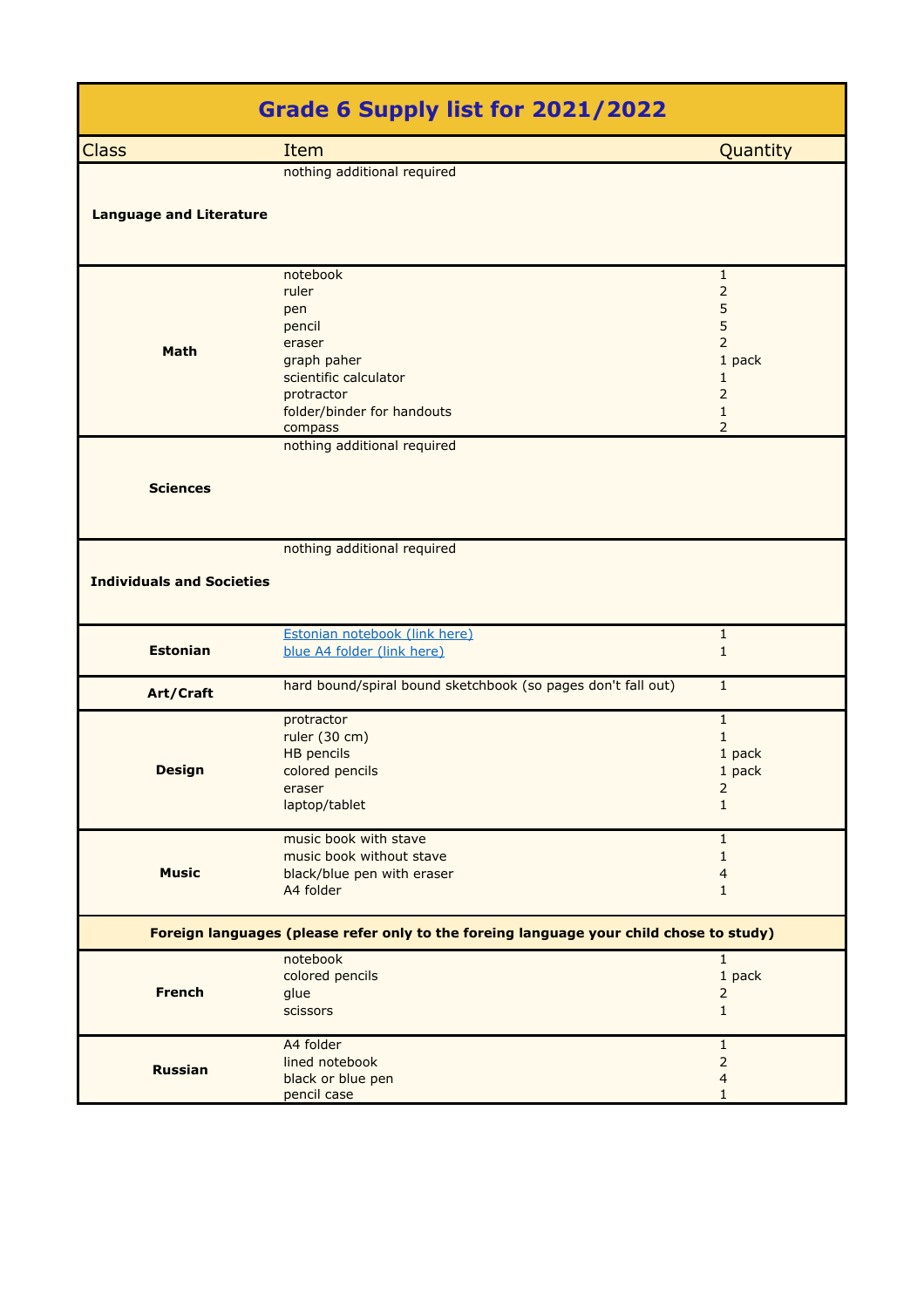|                                                                                         | Grade 6 Supply list for 2021/2022                                                                                                           |                                                                                                                  |  |
|-----------------------------------------------------------------------------------------|---------------------------------------------------------------------------------------------------------------------------------------------|------------------------------------------------------------------------------------------------------------------|--|
| <b>Class</b>                                                                            | Item                                                                                                                                        | Quantity                                                                                                         |  |
|                                                                                         | nothing additional required                                                                                                                 |                                                                                                                  |  |
| <b>Language and Literature</b>                                                          |                                                                                                                                             |                                                                                                                  |  |
| <b>Math</b>                                                                             | notebook<br>ruler<br>pen<br>pencil<br>eraser<br>graph paher<br>scientific calculator<br>protractor<br>folder/binder for handouts<br>compass | $\mathbf{1}$<br>$\overline{2}$<br>5<br>5<br>2<br>1 pack<br>1<br>$\overline{2}$<br>$\mathbf{1}$<br>$\overline{2}$ |  |
| <b>Sciences</b>                                                                         | nothing additional required                                                                                                                 |                                                                                                                  |  |
| <b>Individuals and Societies</b>                                                        | nothing additional required                                                                                                                 |                                                                                                                  |  |
| <b>Estonian</b>                                                                         | Estonian notebook (link here)<br>blue A4 folder (link here)                                                                                 | $\mathbf{1}$<br>$\mathbf{1}$                                                                                     |  |
| Art/Craft                                                                               | hard bound/spiral bound sketchbook (so pages don't fall out)                                                                                | $\mathbf{1}$                                                                                                     |  |
| <b>Design</b>                                                                           | protractor<br>ruler (30 cm)<br><b>HB</b> pencils<br>colored pencils<br>eraser<br>laptop/tablet                                              | $1\,$<br>$\mathbf{1}$<br>1 pack<br>1 pack<br>$\overline{c}$<br>$\mathbf{1}$                                      |  |
| <b>Music</b>                                                                            | music book with stave<br>music book without stave<br>black/blue pen with eraser<br>A4 folder                                                | $\mathbf{1}$<br>$\mathbf{1}$<br>4<br>$\mathbf{1}$                                                                |  |
| Foreign languages (please refer only to the foreing language your child chose to study) |                                                                                                                                             |                                                                                                                  |  |
| <b>French</b>                                                                           | notebook<br>colored pencils<br>glue<br><b>scissors</b>                                                                                      | $\overline{1}$<br>1 pack<br>2<br>$\mathbf{1}$                                                                    |  |
| <b>Russian</b>                                                                          | A4 folder<br>lined notebook<br>black or blue pen<br>pencil case                                                                             | $\mathbf{1}$<br>$\mathbf 2$<br>$\overline{4}$<br>$\mathbf{1}$                                                    |  |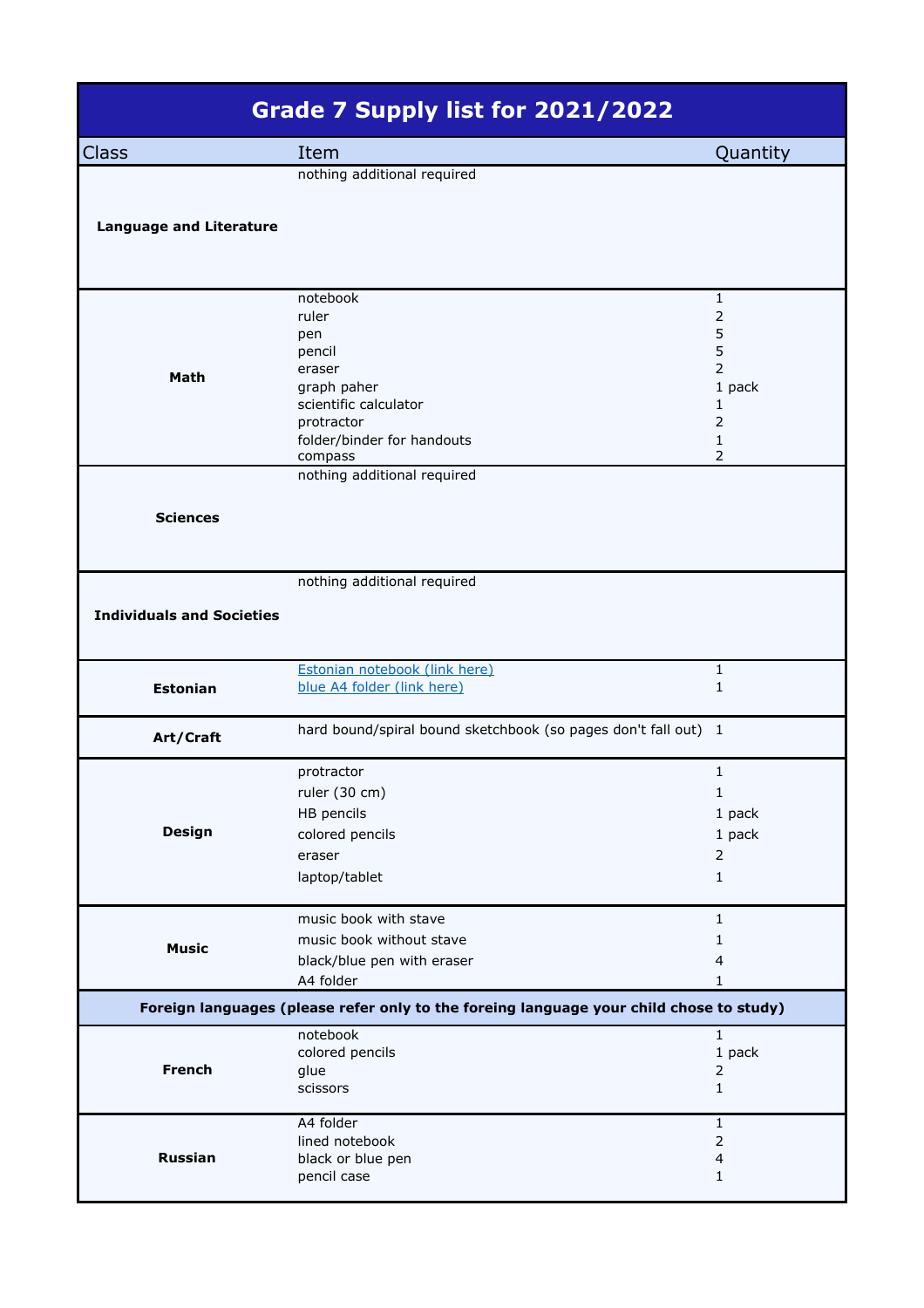| Grade 7 Supply list for 2021/2022 |                                                                                                                                             |                                                                                                       |  |  |  |
|-----------------------------------|---------------------------------------------------------------------------------------------------------------------------------------------|-------------------------------------------------------------------------------------------------------|--|--|--|
| <b>Class</b>                      | Item                                                                                                                                        | Quantity                                                                                              |  |  |  |
| <b>Language and Literature</b>    | nothing additional required                                                                                                                 |                                                                                                       |  |  |  |
| Math                              | notebook<br>ruler<br>pen<br>pencil<br>eraser<br>graph paher<br>scientific calculator<br>protractor<br>folder/binder for handouts<br>compass | 1<br>$\overline{2}$<br>5<br>5<br>$\overline{2}$<br>1 pack<br>$\mathbf{1}$<br>$\overline{2}$<br>1<br>2 |  |  |  |
| <b>Sciences</b>                   | nothing additional required                                                                                                                 |                                                                                                       |  |  |  |
| <b>Individuals and Societies</b>  | nothing additional required                                                                                                                 |                                                                                                       |  |  |  |
| <b>Estonian</b>                   | Estonian notebook (link here)<br>blue A4 folder (link here)                                                                                 | $\mathbf{1}$<br>$\mathbf{1}$                                                                          |  |  |  |
| Art/Craft                         | hard bound/spiral bound sketchbook (so pages don't fall out) 1                                                                              |                                                                                                       |  |  |  |
| <b>Design</b>                     | protractor<br>ruler (30 cm)<br>HB pencils<br>colored pencils<br>eraser<br>laptop/tablet                                                     | $\mathbf{1}$<br>$\mathbf 1$<br>1 pack<br>1 pack<br>$\mathbf 2$<br>$\mathbf{1}$                        |  |  |  |
| <b>Music</b>                      | music book with stave<br>music book without stave<br>black/blue pen with eraser<br>A4 folder                                                | $\mathbf{1}$<br>$\mathbf{1}$<br>4<br>1                                                                |  |  |  |
|                                   | Foreign languages (please refer only to the foreing language your child chose to study)                                                     |                                                                                                       |  |  |  |
| <b>French</b>                     | notebook<br>colored pencils<br>glue<br>scissors                                                                                             | $\mathbf{1}$<br>1 pack<br>$\overline{2}$<br>$\mathbf{1}$                                              |  |  |  |
| <b>Russian</b>                    | A4 folder<br>lined notebook<br>black or blue pen<br>pencil case                                                                             | $\mathbf{1}$<br>$\mathbf 2$<br>$\overline{\mathcal{L}}$<br>$\mathbf{1}$                               |  |  |  |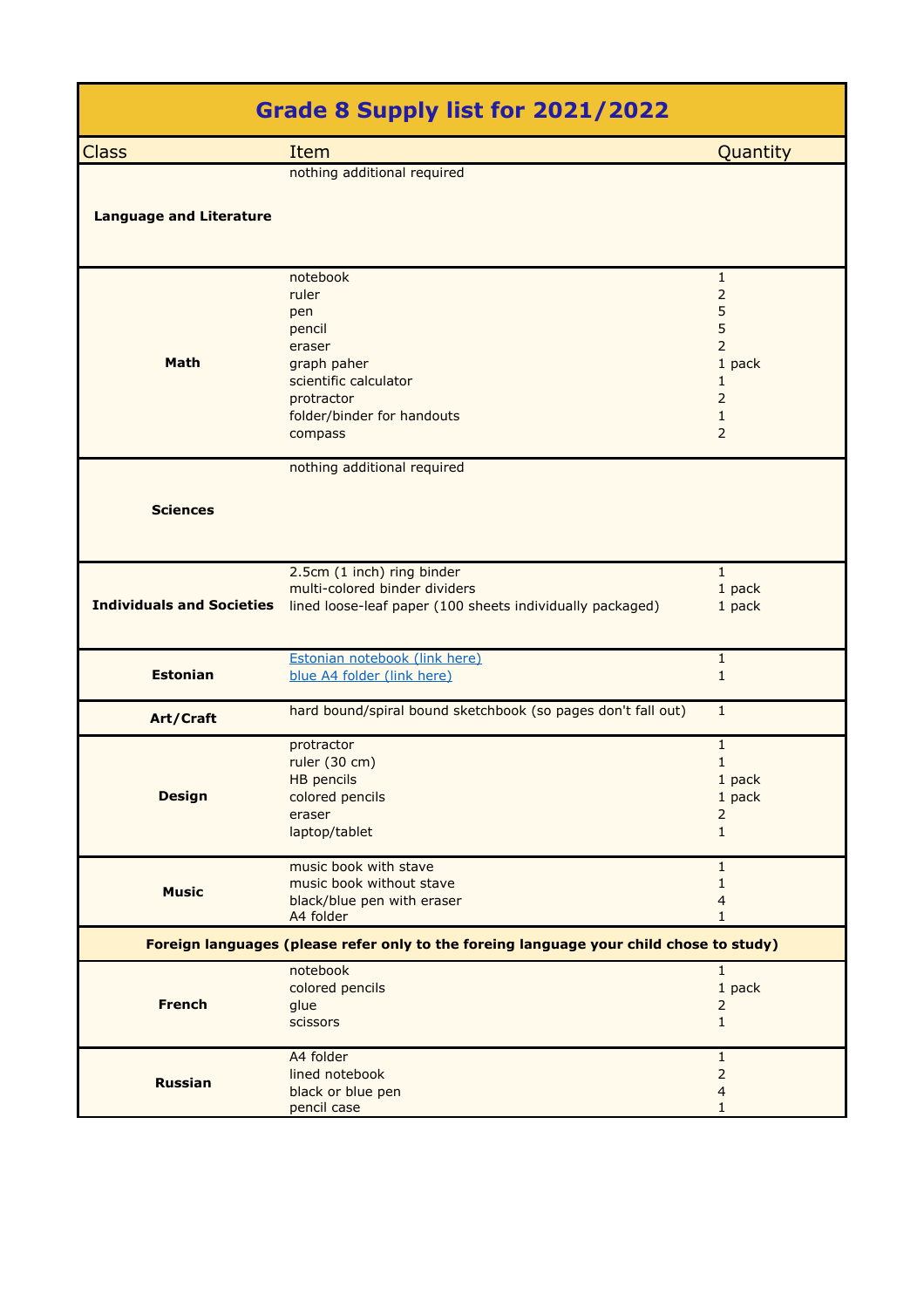|                                  | <b>Grade 8 Supply list for 2021/2022</b>                                                                                                    |                                                                                                       |
|----------------------------------|---------------------------------------------------------------------------------------------------------------------------------------------|-------------------------------------------------------------------------------------------------------|
| <b>Class</b>                     | Item                                                                                                                                        | Quantity                                                                                              |
| <b>Language and Literature</b>   | nothing additional required                                                                                                                 |                                                                                                       |
| <b>Math</b>                      | notebook<br>ruler<br>pen<br>pencil<br>eraser<br>graph paher<br>scientific calculator<br>protractor<br>folder/binder for handouts<br>compass | $\mathbf{1}$<br>$\overline{2}$<br>5<br>5<br>$\overline{2}$<br>1 pack<br>1<br>$\overline{2}$<br>1<br>2 |
| <b>Sciences</b>                  | nothing additional required                                                                                                                 |                                                                                                       |
| <b>Individuals and Societies</b> | 2.5cm (1 inch) ring binder<br>multi-colored binder dividers<br>lined loose-leaf paper (100 sheets individually packaged)                    | $\mathbf{1}$<br>1 pack<br>1 pack                                                                      |
| <b>Estonian</b>                  | Estonian notebook (link here)<br>blue A4 folder (link here)                                                                                 | $\mathbf{1}$<br>$\mathbf{1}$                                                                          |
| Art/Craft                        | hard bound/spiral bound sketchbook (so pages don't fall out)                                                                                | $\mathbf{1}$                                                                                          |
| <b>Design</b>                    | protractor<br>ruler (30 cm)<br>HB pencils<br>colored pencils<br>eraser<br>laptop/tablet                                                     | $\mathbf{1}$<br>1<br>1 pack<br>1 pack<br>2<br>$\mathbf{1}$                                            |
| <b>Music</b>                     | music book with stave<br>music book without stave<br>black/blue pen with eraser<br>A4 folder                                                | $\mathbf{1}$<br>1<br>4<br>1                                                                           |
|                                  | Foreign languages (please refer only to the foreing language your child chose to study)                                                     |                                                                                                       |
| <b>French</b>                    | notebook<br>colored pencils<br>glue<br>scissors                                                                                             | $\mathbf{1}$<br>1 pack<br>$\overline{2}$<br>$\mathbf{1}$                                              |
| <b>Russian</b>                   | A4 folder<br>lined notebook<br>black or blue pen<br>pencil case                                                                             | 1<br>$\overline{2}$<br>$\overline{4}$<br>1                                                            |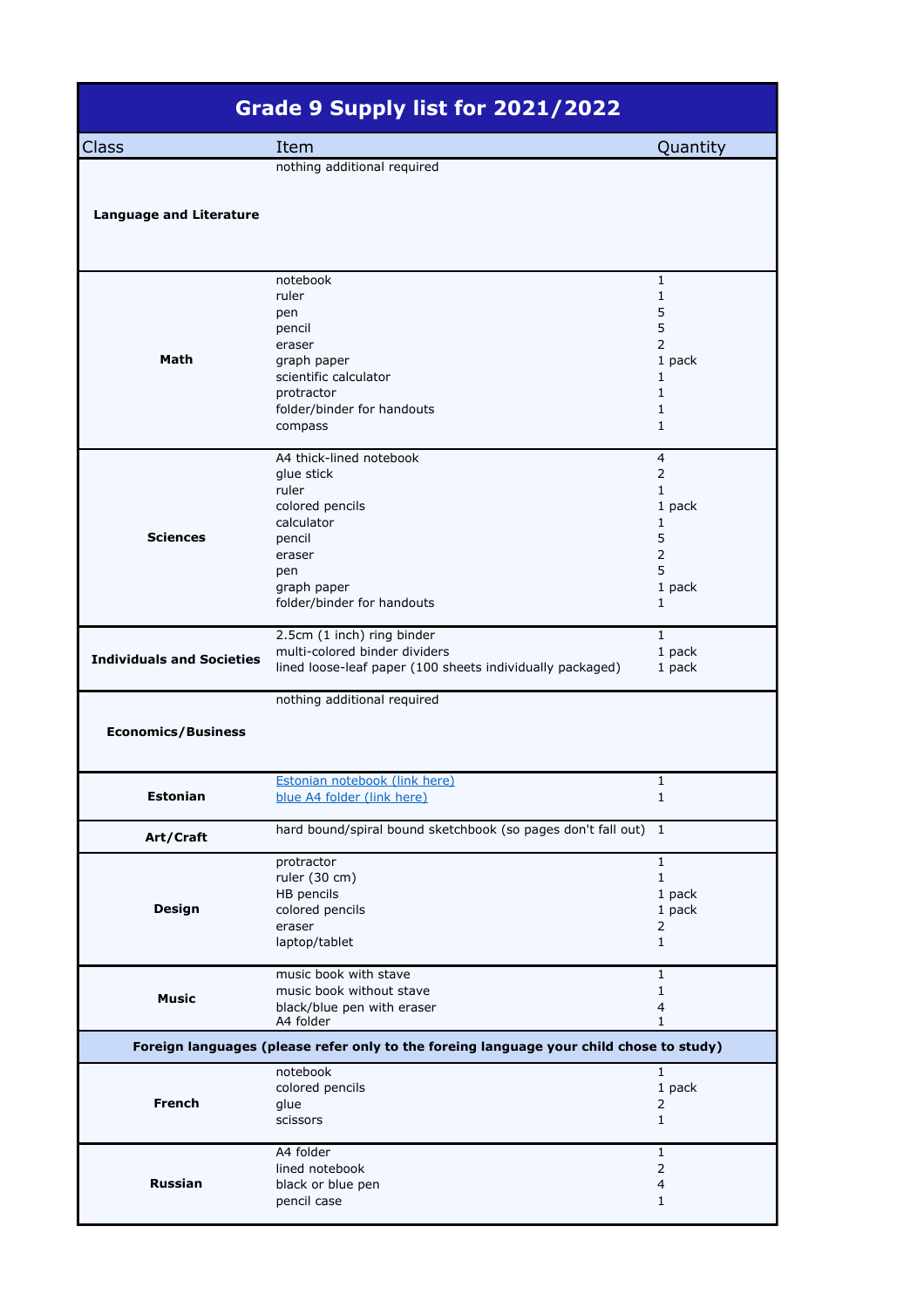|                                                               | Grade 9 Supply list for 2021/2022                                                                                                                                                                                                                                        |                                                                                                                                                                |
|---------------------------------------------------------------|--------------------------------------------------------------------------------------------------------------------------------------------------------------------------------------------------------------------------------------------------------------------------|----------------------------------------------------------------------------------------------------------------------------------------------------------------|
| Class                                                         | Item                                                                                                                                                                                                                                                                     | Quantity                                                                                                                                                       |
| <b>Language and Literature</b>                                | nothing additional required                                                                                                                                                                                                                                              |                                                                                                                                                                |
| Math<br><b>Sciences</b>                                       | notebook<br>ruler<br>pen<br>pencil<br>eraser<br>graph paper<br>scientific calculator<br>protractor<br>folder/binder for handouts<br>compass<br>A4 thick-lined notebook<br>glue stick<br>ruler<br>colored pencils<br>calculator<br>pencil<br>eraser<br>pen<br>graph paper | 1<br>1<br>5<br>5<br>$\overline{2}$<br>1 pack<br>1<br>1<br>1<br>1<br>$\overline{4}$<br>$\overline{2}$<br>1<br>1 pack<br>1<br>5<br>$\overline{2}$<br>5<br>1 pack |
| <b>Individuals and Societies</b><br><b>Economics/Business</b> | folder/binder for handouts<br>2.5cm (1 inch) ring binder<br>multi-colored binder dividers<br>lined loose-leaf paper (100 sheets individually packaged)<br>nothing additional required                                                                                    | $\mathbf{1}$<br>$\mathbf{1}$<br>1 pack<br>1 pack                                                                                                               |
| <b>Estonian</b>                                               | Estonian notebook (link here)<br>blue A4 folder (link here)                                                                                                                                                                                                              | 1<br>1                                                                                                                                                         |
| Art/Craft                                                     | hard bound/spiral bound sketchbook (so pages don't fall out)                                                                                                                                                                                                             | $\mathbf{1}$                                                                                                                                                   |
| Design                                                        | protractor<br>ruler (30 cm)<br>HB pencils<br>colored pencils<br>eraser<br>laptop/tablet                                                                                                                                                                                  | $\mathbf{1}$<br>$\mathbf{1}$<br>1 pack<br>1 pack<br>2<br>$\mathbf{1}$                                                                                          |
| <b>Music</b>                                                  | music book with stave<br>music book without stave<br>black/blue pen with eraser<br>A4 folder                                                                                                                                                                             | 1<br>1<br>4<br>1                                                                                                                                               |
|                                                               | Foreign languages (please refer only to the foreing language your child chose to study)                                                                                                                                                                                  |                                                                                                                                                                |
| <b>French</b>                                                 | notebook<br>colored pencils<br>glue<br>scissors                                                                                                                                                                                                                          | $\mathbf 1$<br>1 pack<br>2<br>$\mathbf{1}$                                                                                                                     |
| Russian                                                       | A4 folder<br>lined notebook<br>black or blue pen<br>pencil case                                                                                                                                                                                                          | 1<br>2<br>4<br>1                                                                                                                                               |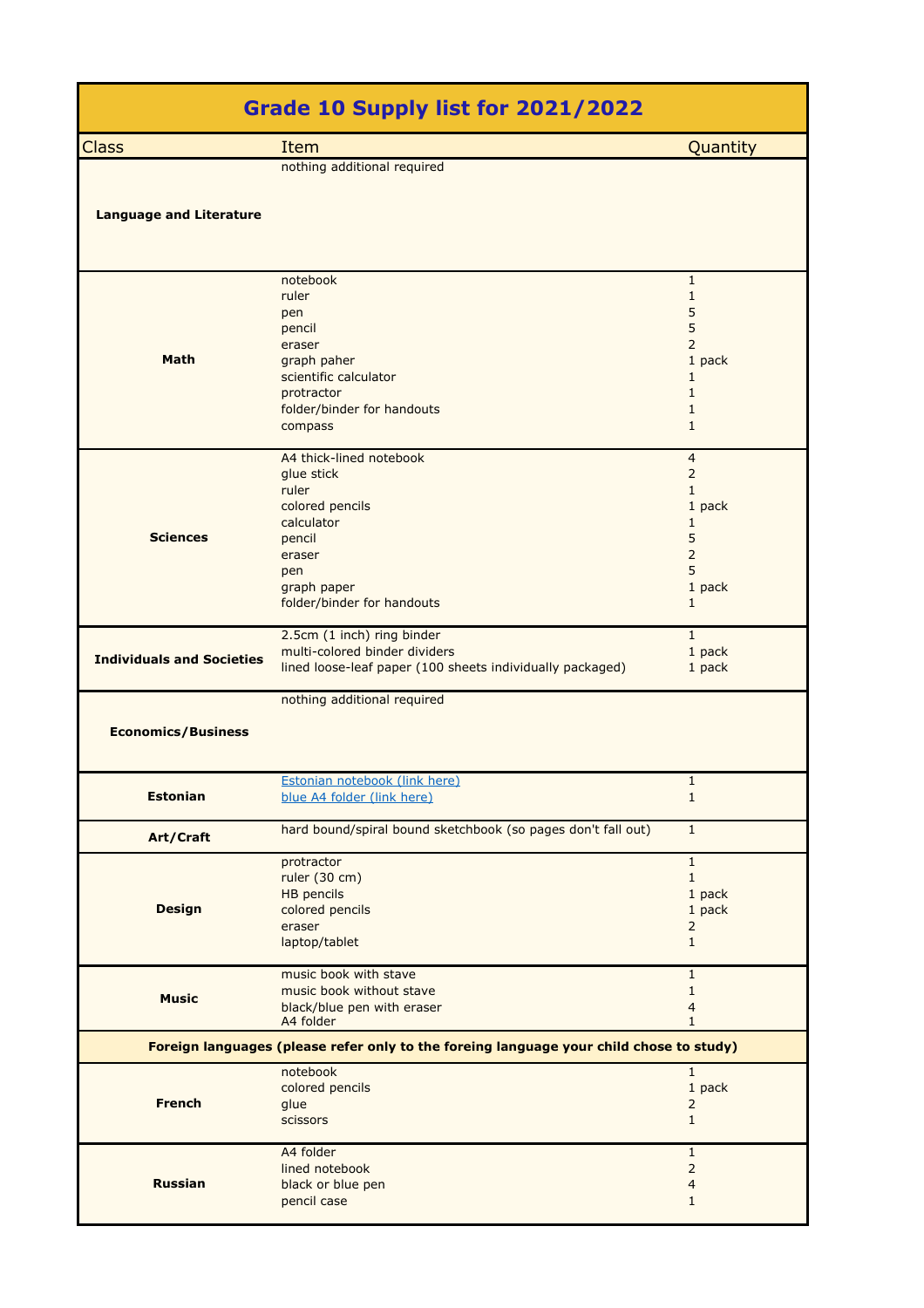| Grade 10 Supply list for 2021/2022 |                                                                                                                                                         |                                                                                                                         |  |
|------------------------------------|---------------------------------------------------------------------------------------------------------------------------------------------------------|-------------------------------------------------------------------------------------------------------------------------|--|
| <b>Class</b>                       | Item                                                                                                                                                    | Quantity                                                                                                                |  |
| <b>Language and Literature</b>     | nothing additional required                                                                                                                             |                                                                                                                         |  |
| Math                               | notebook<br>ruler<br>pen<br>pencil<br>eraser<br>graph paher<br>scientific calculator<br>protractor<br>folder/binder for handouts<br>compass             | $\mathbf{1}$<br>$\mathbf{1}$<br>5<br>5<br>$\overline{2}$<br>1 pack<br>1<br>$\mathbf{1}$<br>$\mathbf{1}$<br>$\mathbf{1}$ |  |
| <b>Sciences</b>                    | A4 thick-lined notebook<br>glue stick<br>ruler<br>colored pencils<br>calculator<br>pencil<br>eraser<br>pen<br>graph paper<br>folder/binder for handouts | 4<br>$\overline{2}$<br>$\mathbf{1}$<br>1 pack<br>1<br>5<br>$\overline{2}$<br>5<br>1 pack<br>$\mathbf{1}$                |  |
| <b>Individuals and Societies</b>   | 2.5cm (1 inch) ring binder<br>multi-colored binder dividers<br>lined loose-leaf paper (100 sheets individually packaged)                                | $\mathbf{1}$<br>1 pack<br>1 pack                                                                                        |  |
| <b>Economics/Business</b>          | nothing additional required                                                                                                                             |                                                                                                                         |  |
| <b>Estonian</b>                    | Estonian notebook (link here)<br>blue A4 folder (link here)                                                                                             | $\mathbf{1}$<br>$\mathbf{1}$                                                                                            |  |
| Art/Craft                          | hard bound/spiral bound sketchbook (so pages don't fall out)                                                                                            | $\mathbf{1}$                                                                                                            |  |
| <b>Design</b>                      | protractor<br>ruler (30 cm)<br><b>HB</b> pencils<br>colored pencils<br>eraser<br>laptop/tablet                                                          | $\mathbf{1}$<br>$\mathbf{1}$<br>1 pack<br>1 pack<br>$\overline{2}$<br>$\mathbf{1}$                                      |  |
| <b>Music</b>                       | music book with stave<br>music book without stave<br>black/blue pen with eraser<br>A4 folder                                                            | $\mathbf{1}$<br>$\mathbf{1}$<br>$\overline{4}$<br>$\mathbf{1}$                                                          |  |
|                                    | Foreign languages (please refer only to the foreing language your child chose to study)                                                                 |                                                                                                                         |  |
| <b>French</b>                      | notebook<br>colored pencils<br>glue<br>scissors                                                                                                         | $\mathbf{1}$<br>1 pack<br>$\overline{2}$<br>$\mathbf{1}$                                                                |  |
| <b>Russian</b>                     | A4 folder<br>lined notebook<br>black or blue pen<br>pencil case                                                                                         | $\mathbf{1}$<br>$\overline{2}$<br>$\overline{4}$<br>$\mathbf{1}$                                                        |  |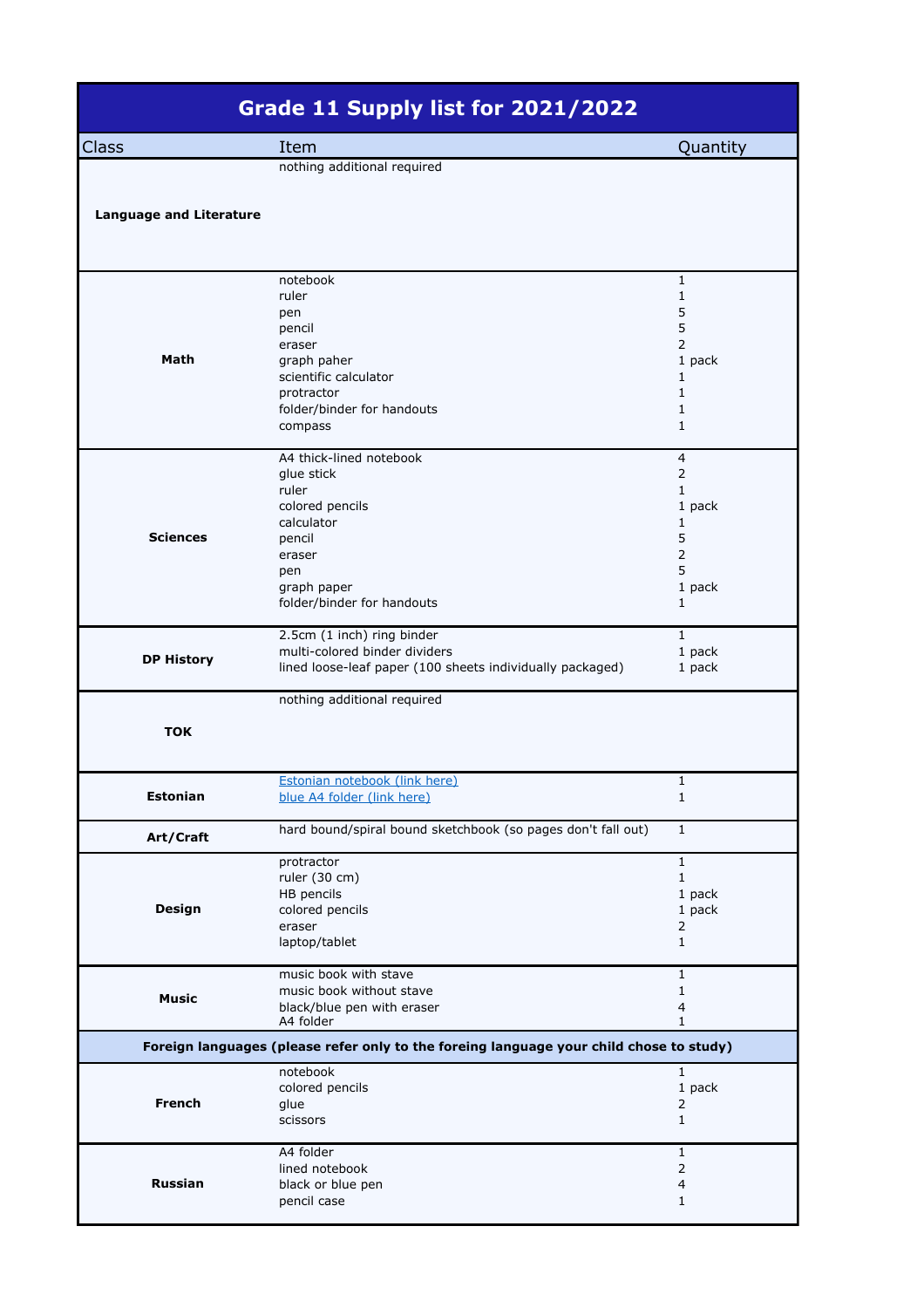|                                | Grade 11 Supply list for 2021/2022                                                                                                                      |                                                                                                            |
|--------------------------------|---------------------------------------------------------------------------------------------------------------------------------------------------------|------------------------------------------------------------------------------------------------------------|
| Class                          | Item                                                                                                                                                    | Quantity                                                                                                   |
| <b>Language and Literature</b> | nothing additional required                                                                                                                             |                                                                                                            |
| Math                           | notebook<br>ruler<br>pen<br>pencil<br>eraser<br>graph paher<br>scientific calculator<br>protractor<br>folder/binder for handouts<br>compass             | $\mathbf{1}$<br>1<br>5<br>5<br>$\overline{2}$<br>1 pack<br>1<br>$\mathbf{1}$<br>1<br>$\mathbf{1}$          |
| <b>Sciences</b>                | A4 thick-lined notebook<br>glue stick<br>ruler<br>colored pencils<br>calculator<br>pencil<br>eraser<br>pen<br>graph paper<br>folder/binder for handouts | $\overline{4}$<br>$\overline{2}$<br>$\mathbf{1}$<br>1 pack<br>1<br>5<br>$\overline{2}$<br>5<br>1 pack<br>1 |
| <b>DP History</b>              | 2.5cm (1 inch) ring binder<br>multi-colored binder dividers<br>lined loose-leaf paper (100 sheets individually packaged)                                | $\mathbf{1}$<br>1 pack<br>1 pack                                                                           |
| <b>TOK</b>                     | nothing additional required                                                                                                                             |                                                                                                            |
| <b>Estonian</b>                | Estonian notebook (link here)<br>blue A4 folder (link here)                                                                                             | 1<br>1                                                                                                     |
| Art/Craft                      | hard bound/spiral bound sketchbook (so pages don't fall out)                                                                                            | $\mathbf{1}$                                                                                               |
| <b>Design</b>                  | protractor<br>ruler (30 cm)<br>HB pencils<br>colored pencils<br>eraser<br>laptop/tablet                                                                 | $\mathbf{1}$<br>$\mathbf{1}$<br>1 pack<br>1 pack<br>2<br>$\mathbf{1}$                                      |
| <b>Music</b>                   | music book with stave<br>music book without stave<br>black/blue pen with eraser<br>A4 folder                                                            | $\mathbf{1}$<br>$\mathbf{1}$<br>4<br>$\mathbf{1}$                                                          |
|                                | Foreign languages (please refer only to the foreing language your child chose to study)                                                                 |                                                                                                            |
| <b>French</b>                  | notebook<br>colored pencils<br>glue<br>scissors                                                                                                         | $\mathbf{1}$<br>1 pack<br>$\overline{2}$<br>$\mathbf{1}$                                                   |
| <b>Russian</b>                 | A4 folder<br>lined notebook<br>black or blue pen<br>pencil case                                                                                         | $\mathbf{1}$<br>$\overline{2}$<br>4<br>$\mathbf{1}$                                                        |